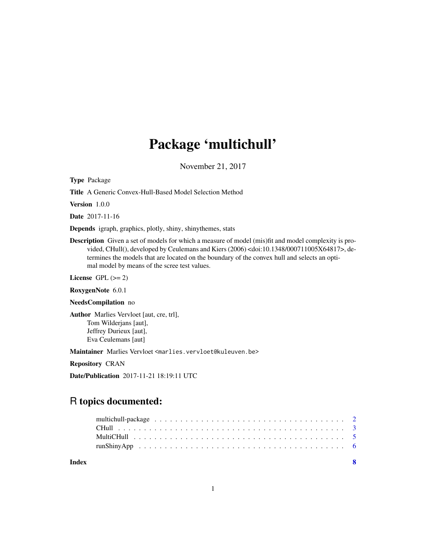# Package 'multichull'

November 21, 2017

<span id="page-0-0"></span>Type Package

Title A Generic Convex-Hull-Based Model Selection Method

Version 1.0.0

Date 2017-11-16

Depends igraph, graphics, plotly, shiny, shinythemes, stats

Description Given a set of models for which a measure of model (mis)fit and model complexity is provided, CHull(), developed by Ceulemans and Kiers (2006) <doi:10.1348/000711005X64817>, determines the models that are located on the boundary of the convex hull and selects an optimal model by means of the scree test values.

License GPL  $(>= 2)$ 

RoxygenNote 6.0.1

#### NeedsCompilation no

Author Marlies Vervloet [aut, cre, trl], Tom Wilderjans [aut], Jeffrey Durieux [aut], Eva Ceulemans [aut]

Maintainer Marlies Vervloet <marlies.vervloet@kuleuven.be>

Repository CRAN

Date/Publication 2017-11-21 18:19:11 UTC

# R topics documented:

| Index | - 8 |  |
|-------|-----|--|
|       |     |  |
|       |     |  |
|       |     |  |
|       |     |  |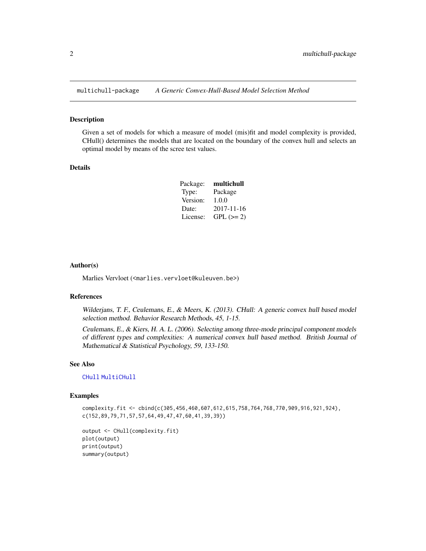<span id="page-1-0"></span>

#### Description

Given a set of models for which a measure of model (mis)fit and model complexity is provided, CHull() determines the models that are located on the boundary of the convex hull and selects an optimal model by means of the scree test values.

#### Details

| Package: | multichull |
|----------|------------|
| Type:    | Package    |
| Version: | 1.0.0      |
| Date:    | 2017-11-16 |
| License: | $GPL (=2)$ |

#### Author(s)

Marlies Vervloet (<marlies.vervloet@kuleuven.be>)

#### References

Wilderjans, T. F., Ceulemans, E., & Meers, K. (2013). CHull: A generic convex hull based model selection method. Behavior Research Methods, 45, 1-15.

Ceulemans, E., & Kiers, H. A. L. (2006). Selecting among three-mode principal component models of different types and complexities: A numerical convex hull based method. British Journal of Mathematical & Statistical Psychology, 59, 133-150.

#### See Also

[CHull](#page-2-1) [MultiCHull](#page-4-1)

#### Examples

complexity.fit <- cbind(c(305,456,460,607,612,615,758,764,768,770,909,916,921,924), c(152,89,79,71,57,57,64,49,47,47,60,41,39,39))

```
output <- CHull(complexity.fit)
plot(output)
print(output)
summary(output)
```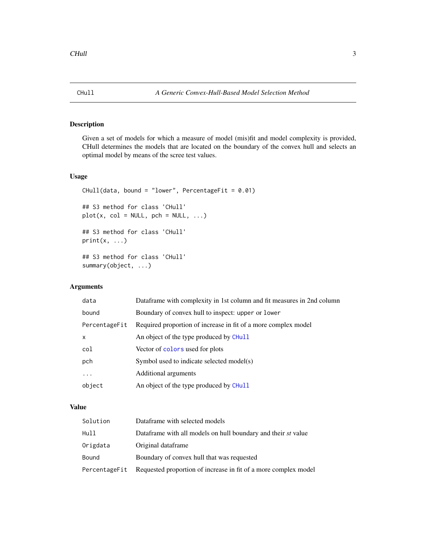<span id="page-2-1"></span><span id="page-2-0"></span>

#### Description

Given a set of models for which a measure of model (mis)fit and model complexity is provided, CHull determines the models that are located on the boundary of the convex hull and selects an optimal model by means of the scree test values.

#### Usage

```
CHull(data, bound = "lower", PercentageFit = 0.01)
## S3 method for class 'CHull'
plot(x, col = NULL, pch = NULL, ...)## S3 method for class 'CHull'
print(x, \ldots)## S3 method for class 'CHull'
summary(object, ...)
```
## Arguments

| data          | Dataframe with complexity in 1st column and fit measures in 2nd column |
|---------------|------------------------------------------------------------------------|
| bound         | Boundary of convex hull to inspect: upper or lower                     |
| PercentageFit | Required proportion of increase in fit of a more complex model         |
| $\mathsf{x}$  | An object of the type produced by CHull                                |
| col           | Vector of colors used for plots                                        |
| pch           | Symbol used to indicate selected model(s)                              |
| .             | Additional arguments                                                   |
| object        | An object of the type produced by CHull                                |
|               |                                                                        |

#### Value

| Solution      | Dataframe with selected models                                  |
|---------------|-----------------------------------------------------------------|
| Hull          | Dataframe with all models on hull boundary and their st value   |
| Origdata      | Original dataframe                                              |
| Bound         | Boundary of convex hull that was requested                      |
| PercentageFit | Requested proportion of increase in fit of a more complex model |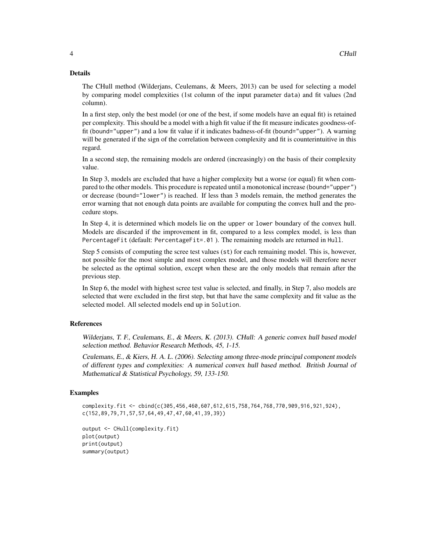#### Details

The CHull method (Wilderjans, Ceulemans, & Meers, 2013) can be used for selecting a model by comparing model complexities (1st column of the input parameter data) and fit values (2nd column).

In a first step, only the best model (or one of the best, if some models have an equal fit) is retained per complexity. This should be a model with a high fit value if the fit measure indicates goodness-offit (bound="upper") and a low fit value if it indicates badness-of-fit (bound="upper"). A warning will be generated if the sign of the correlation between complexity and fit is counterintuitive in this regard.

In a second step, the remaining models are ordered (increasingly) on the basis of their complexity value.

In Step 3, models are excluded that have a higher complexity but a worse (or equal) fit when compared to the other models. This procedure is repeated until a monotonical increase (bound="upper") or decrease (bound="lower") is reached. If less than 3 models remain, the method generates the error warning that not enough data points are available for computing the convex hull and the procedure stops.

In Step 4, it is determined which models lie on the upper or lower boundary of the convex hull. Models are discarded if the improvement in fit, compared to a less complex model, is less than PercentageFit (default: PercentageFit=.01 ). The remaining models are returned in Hull.

Step 5 consists of computing the scree test values (st) for each remaining model. This is, however, not possible for the most simple and most complex model, and those models will therefore never be selected as the optimal solution, except when these are the only models that remain after the previous step.

In Step 6, the model with highest scree test value is selected, and finally, in Step 7, also models are selected that were excluded in the first step, but that have the same complexity and fit value as the selected model. All selected models end up in Solution.

#### References

Wilderjans, T. F., Ceulemans, E., & Meers, K. (2013). CHull: A generic convex hull based model selection method. Behavior Research Methods, 45, 1-15.

Ceulemans, E., & Kiers, H. A. L. (2006). Selecting among three-mode principal component models of different types and complexities: A numerical convex hull based method. British Journal of Mathematical & Statistical Psychology, 59, 133-150.

#### Examples

```
complexity.fit <- cbind(c(305,456,460,607,612,615,758,764,768,770,909,916,921,924),
c(152,89,79,71,57,57,64,49,47,47,60,41,39,39))
```

```
output <- CHull(complexity.fit)
plot(output)
print(output)
summary(output)
```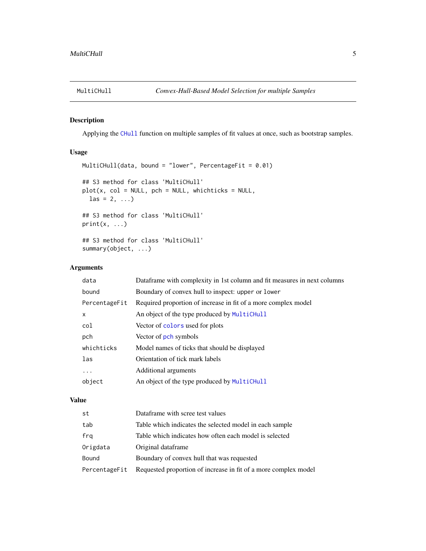<span id="page-4-1"></span><span id="page-4-0"></span>

#### Description

Applying the [CHull](#page-2-1) function on multiple samples of fit values at once, such as bootstrap samples.

#### Usage

```
MultiCHull(data, bound = "lower", PercentageFit = 0.01)
## S3 method for class 'MultiCHull'
plot(x, col = NULL, pch = NULL, which\text{las} = 2, ...## S3 method for class 'MultiCHull'
print(x, \ldots)## S3 method for class 'MultiCHull'
summary(object, ...)
```
#### Arguments

| data          | Dataframe with complexity in 1st column and fit measures in next columns |
|---------------|--------------------------------------------------------------------------|
| bound         | Boundary of convex hull to inspect: upper or lower                       |
| PercentageFit | Required proportion of increase in fit of a more complex model           |
| X             | An object of the type produced by MultiCHull                             |
| col           | Vector of colors used for plots                                          |
| pch           | Vector of pch symbols                                                    |
| whichticks    | Model names of ticks that should be displayed                            |
| las           | Orientation of tick mark labels                                          |
| .             | Additional arguments                                                     |
| object        | An object of the type produced by MultiCHull                             |
|               |                                                                          |

#### Value

| st            | Dataframe with scree test values                                |
|---------------|-----------------------------------------------------------------|
| tab           | Table which indicates the selected model in each sample         |
| frq           | Table which indicates how often each model is selected          |
| Origdata      | Original dataframe                                              |
| Bound         | Boundary of convex hull that was requested                      |
| PercentageFit | Requested proportion of increase in fit of a more complex model |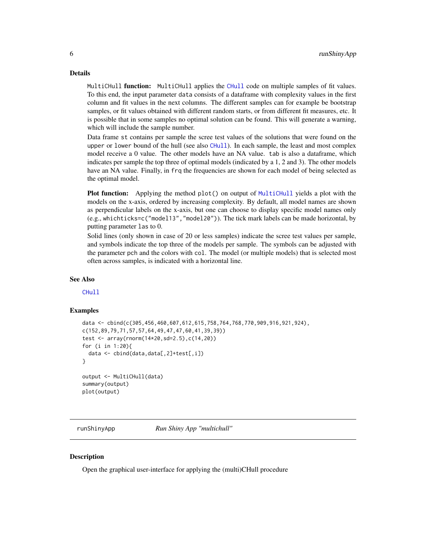#### <span id="page-5-0"></span>Details

Multi[CHull](#page-2-1) **function:** MultiCHull applies the CHull code on multiple samples of fit values. To this end, the input parameter data consists of a dataframe with complexity values in the first column and fit values in the next columns. The different samples can for example be bootstrap samples, or fit values obtained with different random starts, or from different fit measures, etc. It is possible that in some samples no optimal solution can be found. This will generate a warning, which will include the sample number.

Data frame st contains per sample the scree test values of the solutions that were found on the upper or lower bound of the hull (see also [CHull](#page-2-1)). In each sample, the least and most complex model receive a 0 value. The other models have an NA value. tab is also a dataframe, which indicates per sample the top three of optimal models (indicated by a 1, 2 and 3). The other models have an NA value. Finally, in frq the frequencies are shown for each model of being selected as the optimal model.

Plot function: Applying the method plot() on output of [MultiCHull](#page-4-1) yields a plot with the models on the x-axis, ordered by increasing complexity. By default, all model names are shown as perpendicular labels on the x-axis, but one can choose to display specific model names only (e.g., whichticks=c("model13","model20")). The tick mark labels can be made horizontal, by putting parameter las to 0.

Solid lines (only shown in case of 20 or less samples) indicate the scree test values per sample, and symbols indicate the top three of the models per sample. The symbols can be adjusted with the parameter pch and the colors with col. The model (or multiple models) that is selected most often across samples, is indicated with a horizontal line.

#### See Also

[CHull](#page-2-1)

#### Examples

```
data <- cbind(c(305,456,460,607,612,615,758,764,768,770,909,916,921,924),
c(152,89,79,71,57,57,64,49,47,47,60,41,39,39))
test <- array(rnorm(14*20,sd=2.5),c(14,20))
for (i in 1:20){
 data <- cbind(data,data[,2]+test[,i])
}
output <- MultiCHull(data)
summary(output)
plot(output)
```
runShinyApp *Run Shiny App "multichull"*

#### Description

Open the graphical user-interface for applying the (multi)CHull procedure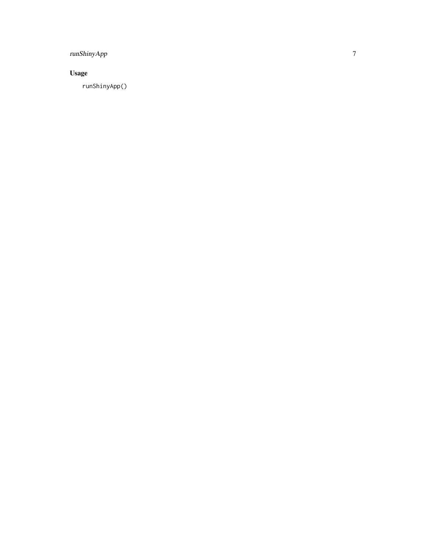## runShinyApp

# Usage

runShinyApp()